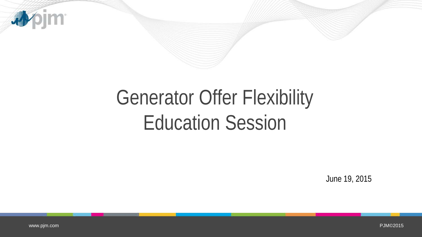

# Generator Offer Flexibility Education Session

June 19, 2015

www.pjm.com

PJM©2015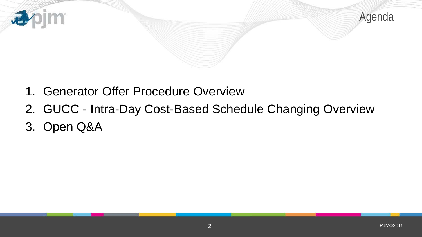

- 1. Generator Offer Procedure Overview
- 2. GUCC Intra-Day Cost-Based Schedule Changing Overview
- 3. Open Q&A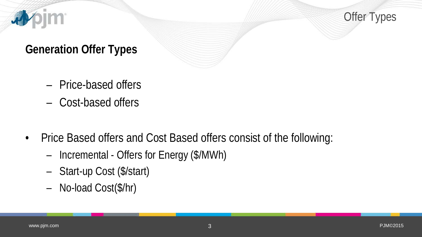

Offer Types

#### **Generation Offer Types**

- Price-based offers
- Cost-based offers
- Price Based offers and Cost Based offers consist of the following:
	- Incremental Offers for Energy (\$/MWh)
	- Start-up Cost (\$/start)
	- No-load Cost(\$/hr)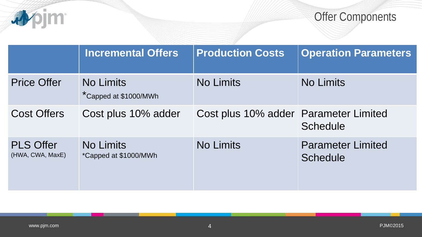

Offer Components

|                                      | <b>Incremental Offers</b>                 | <b>Production Costs</b>               | <b>Operation Parameters</b>                 |
|--------------------------------------|-------------------------------------------|---------------------------------------|---------------------------------------------|
| <b>Price Offer</b>                   | <b>No Limits</b><br>*Capped at \$1000/MWh | <b>No Limits</b>                      | <b>No Limits</b>                            |
| <b>Cost Offers</b>                   | Cost plus 10% adder                       | Cost plus 10% adder Parameter Limited | <b>Schedule</b>                             |
| <b>PLS Offer</b><br>(HWA, CWA, MaxE) | <b>No Limits</b><br>*Capped at \$1000/MWh | <b>No Limits</b>                      | <b>Parameter Limited</b><br><b>Schedule</b> |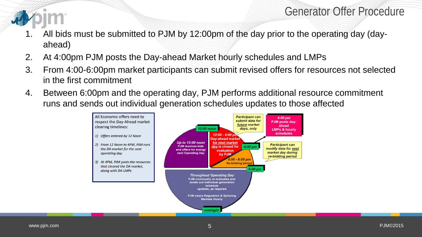#### Generator Offer Procedure

- 1. All bids must be submitted to PJM by 12:00pm of the day prior to the operating day (dayahead)
- 2. At 4:00pm PJM posts the Day-ahead Market hourly schedules and LMPs
- 3. From 4:00-6:00pm market participants can submit revised offers for resources not selected in the first commitment
- 4. Between 6:00pm and the operating day, PJM performs additional resource commitment runs and sends out individual generation schedules updates to those affected

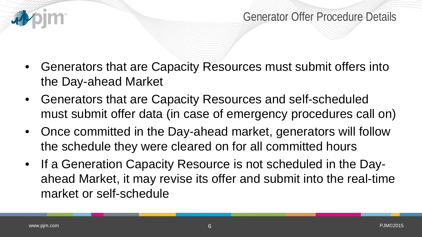

- Generators that are Capacity Resources must submit offers into the Day-ahead Market
- Generators that are Capacity Resources and self-scheduled must submit offer data (in case of emergency procedures call on)
- Once committed in the Day-ahead market, generators will follow the schedule they were cleared on for all committed hours
- If a Generation Capacity Resource is not scheduled in the Dayahead Market, it may revise its offer and submit into the real-time market or self-schedule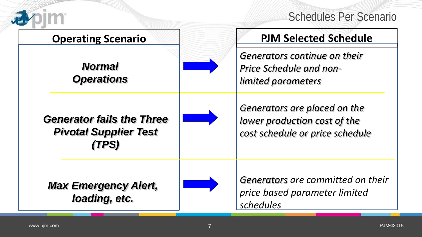

#### Schedules Per Scenario

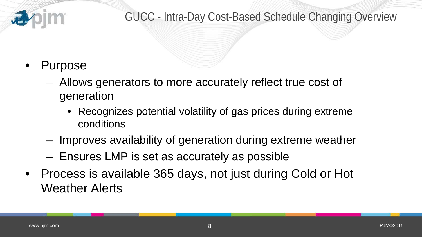

#### GUCC - Intra-Day Cost-Based Schedule Changing Overview

## • Purpose

- Allows generators to more accurately reflect true cost of generation
	- Recognizes potential volatility of gas prices during extreme conditions
- Improves availability of generation during extreme weather
- Ensures LMP is set as accurately as possible
- Process is available 365 days, not just during Cold or Hot Weather Alerts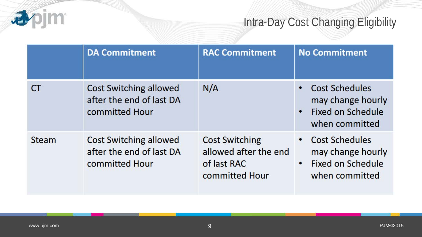## **appim**

## Intra-Day Cost Changing Eligibility

|              | <b>DA Commitment</b>                                                        | <b>RAC Commitment</b>                                                           | <b>No Commitment</b>                                                                                               |
|--------------|-----------------------------------------------------------------------------|---------------------------------------------------------------------------------|--------------------------------------------------------------------------------------------------------------------|
|              | <b>Cost Switching allowed</b><br>after the end of last DA<br>committed Hour | N/A                                                                             | <b>Cost Schedules</b><br>may change hourly<br>Fixed on Schedule<br>$\bullet$<br>when committed                     |
| <b>Steam</b> | <b>Cost Switching allowed</b><br>after the end of last DA<br>committed Hour | <b>Cost Switching</b><br>allowed after the end<br>of last RAC<br>committed Hour | <b>Cost Schedules</b><br>$\bullet$<br>may change hourly<br><b>Fixed on Schedule</b><br>$\bullet$<br>when committed |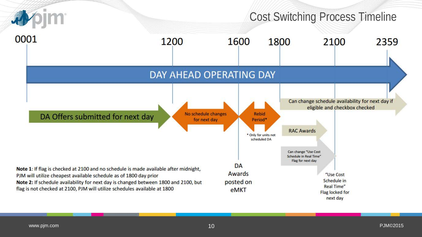

www.pjm.com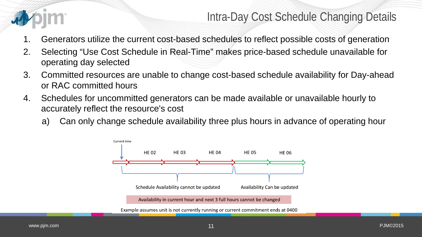

Intra-Day Cost Schedule Changing Details

- 1. Generators utilize the current cost-based schedules to reflect possible costs of generation
- 2. Selecting "Use Cost Schedule in Real-Time" makes price-based schedule unavailable for operating day selected
- 3. Committed resources are unable to change cost-based schedule availability for Day-ahead or RAC committed hours
- 4. Schedules for uncommitted generators can be made available or unavailable hourly to accurately reflect the resource's cost
	- a) Can only change schedule availability three plus hours in advance of operating hour

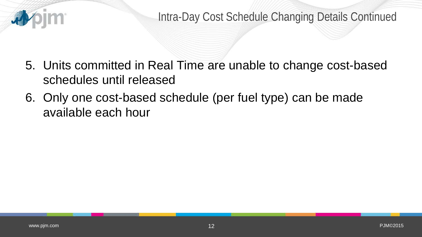

- 5. Units committed in Real Time are unable to change cost-based schedules until released
- 6. Only one cost-based schedule (per fuel type) can be made available each hour